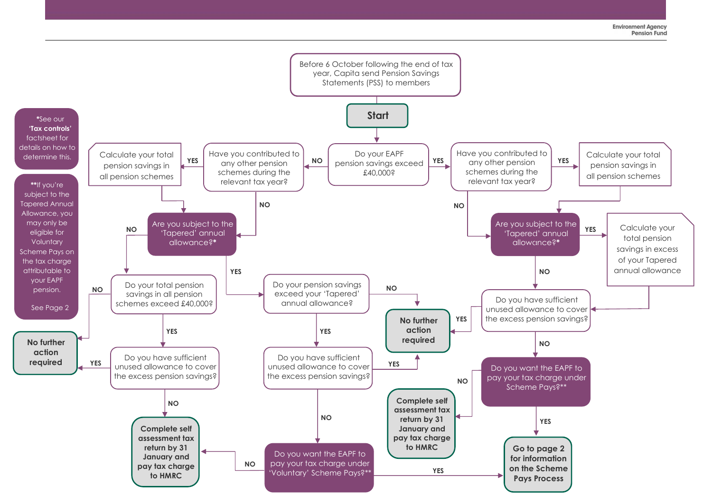